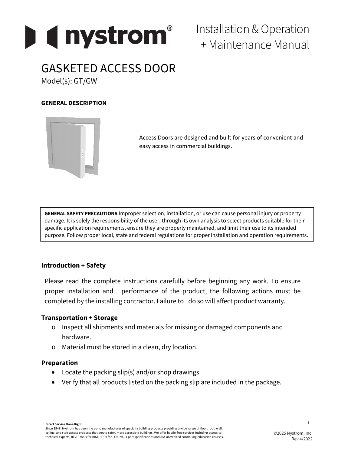

Installation &Operation + Maintenance Manual

# GASKETED ACCESS DOOR

Model(s): GT/GW

# **GENERAL DESCRIPTION**



Access Doors are designed and built for years of convenient and easy access in commercial buildings.

**GENERAL SAFETY PRECAUTIONS** Improper selection, installation, or use can cause personal injury or property damage. It is solely the responsibility of the user, through its own analysis to select products suitable for their specific application requirements, ensure they are properly maintained, and limit their use to its intended purpose. Follow proper local, state and federal regulations for proper installation and operation requirements.

## **Introduction + Safety**

Please read the complete instructions carefully before beginning any work. To ensure proper installation and performance of the product, the following actions must be completed by the installing contractor. Failure to do so will affect product warranty.

## **Transportation + Storage**

- o Inspect all shipments and materials for missing or damaged components and hardware.
- o Material must be stored in a clean, dry location.

## **Preparation**

- Locate the packing slip(s) and/or shop drawings.
- Verify that all products listed on the packing slip are included in the package.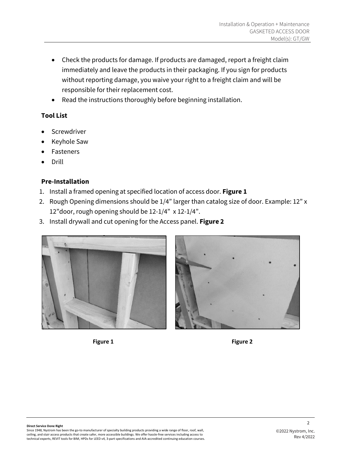- Check the products for damage. If products are damaged, report a freight claim immediately and leave the products in their packaging. If you sign for products without reporting damage, you waive your right to a freight claim and will be responsible for their replacement cost.
- Read the instructions thoroughly before beginning installation.

# **Tool List**

- **Screwdriver**
- Keyhole Saw
- **Fasteners**
- Drill

# **Pre-Installation**

- 1. Install a framed opening at specified location of access door. **Figure 1**
- 2. Rough Opening dimensions should be 1/4" larger than catalog size of door. Example: 12" x 12"door, rough opening should be 12-1/4" x 12-1/4".
- 3. Install drywall and cut opening for the Access panel. **Figure 2**





 $\mathfrak{p}$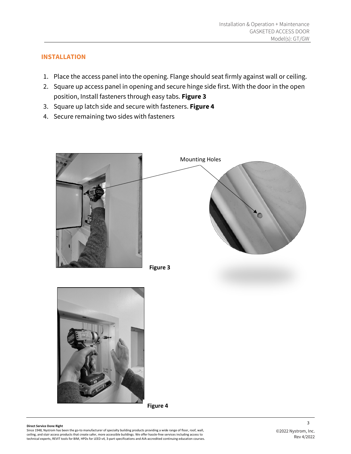# **INSTALLATION**

- 1. Place the access panel into the opening. Flange should seat firmly against wall or ceiling.
- 2. Square up access panel in opening and secure hinge side first. With the door in the open position, Install fasteners through easy tabs. **Figure 3**
- 3. Square up latch side and secure with fasteners. **Figure 4**
- 4. Secure remaining two sides with fasteners









**Figure 4**

#### **Direct Service Done Right**

Since 1948, Nystrom has been the go-to manufacturer of specialty building products providing a wide range of floor, roof, wall,<br>ceiling, and stair access products that create safer, more accessible buildings. We offer hass technical experts, REVIT tools for BIM, HPDs for LEED v4, 3-part specifications and AIA-accredited continuing education courses. 3